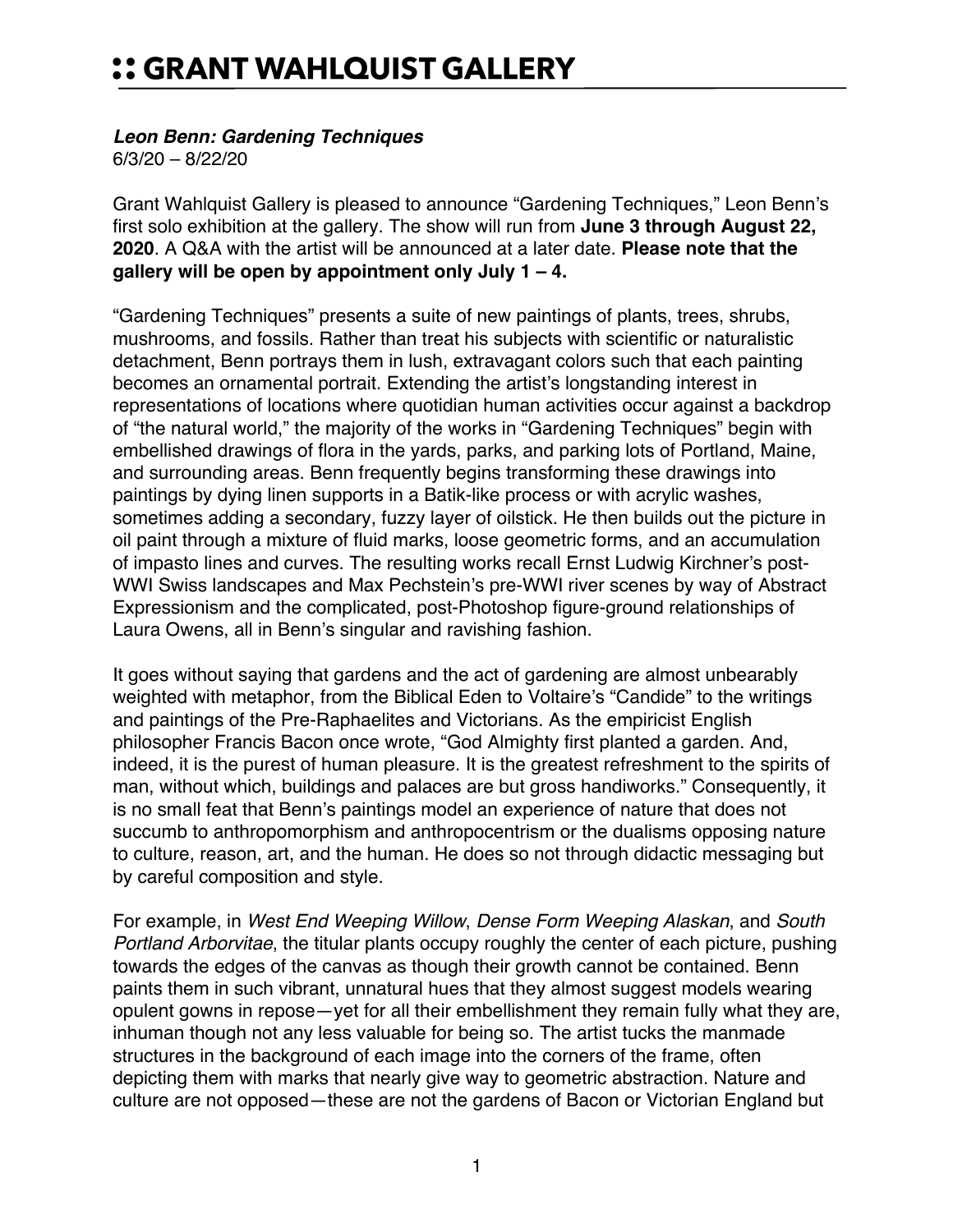## :: GRANT WAHLQUIST GALLERY

## *Leon Benn: Gardening Techniques*

6/3/20 – 8/22/20

Grant Wahlquist Gallery is pleased to announce "Gardening Techniques," Leon Benn's first solo exhibition at the gallery. The show will run from **June 3 through August 22, 2020**. A Q&A with the artist will be announced at a later date. **Please note that the gallery will be open by appointment only July 1 – 4.**

"Gardening Techniques" presents a suite of new paintings of plants, trees, shrubs, mushrooms, and fossils. Rather than treat his subjects with scientific or naturalistic detachment, Benn portrays them in lush, extravagant colors such that each painting becomes an ornamental portrait. Extending the artist's longstanding interest in representations of locations where quotidian human activities occur against a backdrop of "the natural world," the majority of the works in "Gardening Techniques" begin with embellished drawings of flora in the yards, parks, and parking lots of Portland, Maine, and surrounding areas. Benn frequently begins transforming these drawings into paintings by dying linen supports in a Batik-like process or with acrylic washes, sometimes adding a secondary, fuzzy layer of oilstick. He then builds out the picture in oil paint through a mixture of fluid marks, loose geometric forms, and an accumulation of impasto lines and curves. The resulting works recall Ernst Ludwig Kirchner's post-WWI Swiss landscapes and Max Pechstein's pre-WWI river scenes by way of Abstract Expressionism and the complicated, post-Photoshop figure-ground relationships of Laura Owens, all in Benn's singular and ravishing fashion.

It goes without saying that gardens and the act of gardening are almost unbearably weighted with metaphor, from the Biblical Eden to Voltaire's "Candide" to the writings and paintings of the Pre-Raphaelites and Victorians. As the empiricist English philosopher Francis Bacon once wrote, "God Almighty first planted a garden. And, indeed, it is the purest of human pleasure. It is the greatest refreshment to the spirits of man, without which, buildings and palaces are but gross handiworks." Consequently, it is no small feat that Benn's paintings model an experience of nature that does not succumb to anthropomorphism and anthropocentrism or the dualisms opposing nature to culture, reason, art, and the human. He does so not through didactic messaging but by careful composition and style.

For example, in *West End Weeping Willow*, *Dense Form Weeping Alaskan*, and *South Portland Arborvitae*, the titular plants occupy roughly the center of each picture, pushing towards the edges of the canvas as though their growth cannot be contained. Benn paints them in such vibrant, unnatural hues that they almost suggest models wearing opulent gowns in repose—yet for all their embellishment they remain fully what they are, inhuman though not any less valuable for being so. The artist tucks the manmade structures in the background of each image into the corners of the frame, often depicting them with marks that nearly give way to geometric abstraction. Nature and culture are not opposed—these are not the gardens of Bacon or Victorian England but